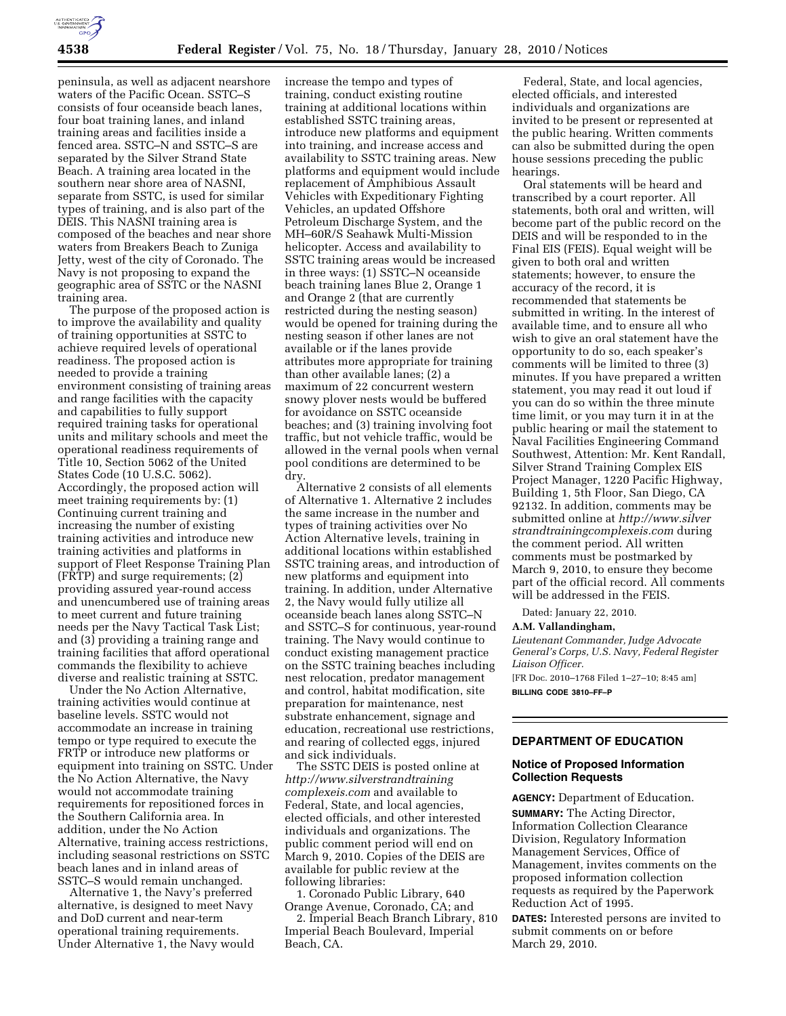

peninsula, as well as adjacent nearshore waters of the Pacific Ocean. SSTC–S consists of four oceanside beach lanes, four boat training lanes, and inland training areas and facilities inside a fenced area. SSTC–N and SSTC–S are separated by the Silver Strand State Beach. A training area located in the southern near shore area of NASNI, separate from SSTC, is used for similar types of training, and is also part of the DEIS. This NASNI training area is composed of the beaches and near shore waters from Breakers Beach to Zuniga Jetty, west of the city of Coronado. The Navy is not proposing to expand the geographic area of SSTC or the NASNI training area.

The purpose of the proposed action is to improve the availability and quality of training opportunities at SSTC to achieve required levels of operational readiness. The proposed action is needed to provide a training environment consisting of training areas and range facilities with the capacity and capabilities to fully support required training tasks for operational units and military schools and meet the operational readiness requirements of Title 10, Section 5062 of the United States Code (10 U.S.C. 5062). Accordingly, the proposed action will meet training requirements by: (1) Continuing current training and increasing the number of existing training activities and introduce new training activities and platforms in support of Fleet Response Training Plan (FRTP) and surge requirements; (2) providing assured year-round access and unencumbered use of training areas to meet current and future training needs per the Navy Tactical Task List; and (3) providing a training range and training facilities that afford operational commands the flexibility to achieve diverse and realistic training at SSTC.

Under the No Action Alternative, training activities would continue at baseline levels. SSTC would not accommodate an increase in training tempo or type required to execute the FRTP or introduce new platforms or equipment into training on SSTC. Under the No Action Alternative, the Navy would not accommodate training requirements for repositioned forces in the Southern California area. In addition, under the No Action Alternative, training access restrictions, including seasonal restrictions on SSTC beach lanes and in inland areas of SSTC–S would remain unchanged.

Alternative 1, the Navy's preferred alternative, is designed to meet Navy and DoD current and near-term operational training requirements. Under Alternative 1, the Navy would increase the tempo and types of training, conduct existing routine training at additional locations within established SSTC training areas, introduce new platforms and equipment into training, and increase access and availability to SSTC training areas. New platforms and equipment would include replacement of Amphibious Assault Vehicles with Expeditionary Fighting Vehicles, an updated Offshore Petroleum Discharge System, and the MH–60R/S Seahawk Multi-Mission helicopter. Access and availability to SSTC training areas would be increased in three ways: (1) SSTC–N oceanside beach training lanes Blue 2, Orange 1 and Orange 2 (that are currently restricted during the nesting season) would be opened for training during the nesting season if other lanes are not available or if the lanes provide attributes more appropriate for training than other available lanes; (2) a maximum of 22 concurrent western snowy plover nests would be buffered for avoidance on SSTC oceanside beaches; and (3) training involving foot traffic, but not vehicle traffic, would be allowed in the vernal pools when vernal pool conditions are determined to be dry.

Alternative 2 consists of all elements of Alternative 1. Alternative 2 includes the same increase in the number and types of training activities over No Action Alternative levels, training in additional locations within established SSTC training areas, and introduction of new platforms and equipment into training. In addition, under Alternative 2, the Navy would fully utilize all oceanside beach lanes along SSTC–N and SSTC–S for continuous, year-round training. The Navy would continue to conduct existing management practice on the SSTC training beaches including nest relocation, predator management and control, habitat modification, site preparation for maintenance, nest substrate enhancement, signage and education, recreational use restrictions, and rearing of collected eggs, injured and sick individuals.

The SSTC DEIS is posted online at *http://www.silverstrandtraining complexeis.com* and available to Federal, State, and local agencies, elected officials, and other interested individuals and organizations. The public comment period will end on March 9, 2010. Copies of the DEIS are available for public review at the following libraries:

1. Coronado Public Library, 640 Orange Avenue, Coronado, CA; and

2. Imperial Beach Branch Library, 810 Imperial Beach Boulevard, Imperial Beach, CA.

Federal, State, and local agencies, elected officials, and interested individuals and organizations are invited to be present or represented at the public hearing. Written comments can also be submitted during the open house sessions preceding the public hearings.

Oral statements will be heard and transcribed by a court reporter. All statements, both oral and written, will become part of the public record on the DEIS and will be responded to in the Final EIS (FEIS). Equal weight will be given to both oral and written statements; however, to ensure the accuracy of the record, it is recommended that statements be submitted in writing. In the interest of available time, and to ensure all who wish to give an oral statement have the opportunity to do so, each speaker's comments will be limited to three (3) minutes. If you have prepared a written statement, you may read it out loud if you can do so within the three minute time limit, or you may turn it in at the public hearing or mail the statement to Naval Facilities Engineering Command Southwest, Attention: Mr. Kent Randall, Silver Strand Training Complex EIS Project Manager, 1220 Pacific Highway, Building 1, 5th Floor, San Diego, CA 92132. In addition, comments may be submitted online at *http://www.silver strandtrainingcomplexeis.com* during the comment period. All written comments must be postmarked by March 9, 2010, to ensure they become part of the official record. All comments will be addressed in the FEIS.

Dated: January 22, 2010.

## **A.M. Vallandingham,**

*Lieutenant Commander, Judge Advocate General's Corps, U.S. Navy, Federal Register Liaison Officer.* 

[FR Doc. 2010–1768 Filed 1–27–10; 8:45 am] **BILLING CODE 3810–FF–P** 

# **DEPARTMENT OF EDUCATION**

#### **Notice of Proposed Information Collection Requests**

**AGENCY:** Department of Education. **SUMMARY:** The Acting Director, Information Collection Clearance Division, Regulatory Information Management Services, Office of Management, invites comments on the proposed information collection requests as required by the Paperwork Reduction Act of 1995.

**DATES:** Interested persons are invited to submit comments on or before March 29, 2010.